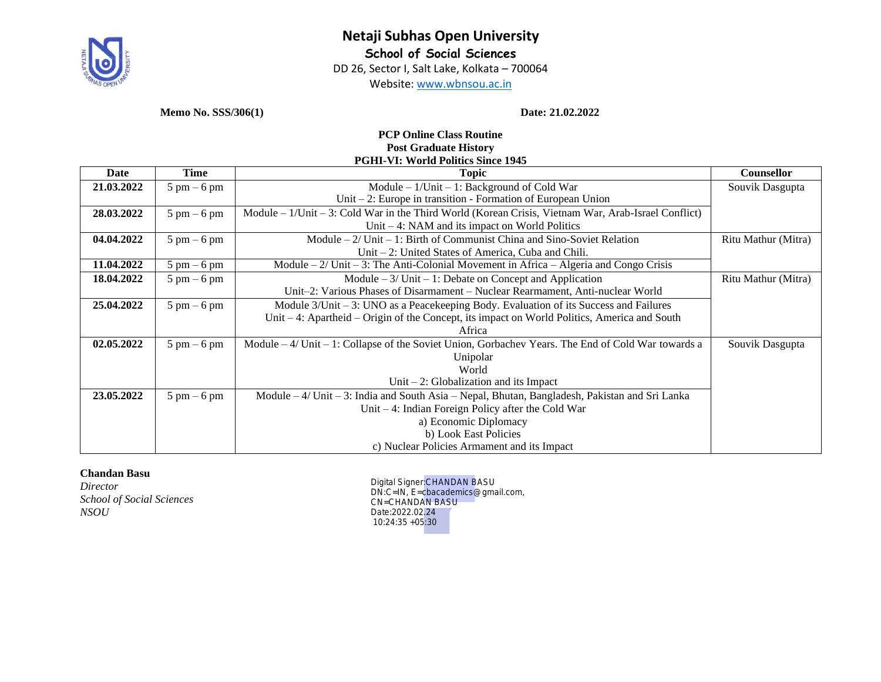

# **Netaji Subhas Open University School of Social Sciences**

DD 26, Sector I, Salt Lake, Kolkata – 700064

Website: [www.wbnsou.ac.in](http://www.wbnsou.ac.in/)

**Memo No. SSS/306(1) Date: 21.02.2022**

#### **PCP Online Class Routine Post Graduate History PGHI-VI: World Politics Since 1945**

| Date       | Time                          | sini vio vvoliu i viluto omite 17-19<br><b>Topic</b>                                                   | <b>Counsellor</b>   |
|------------|-------------------------------|--------------------------------------------------------------------------------------------------------|---------------------|
| 21.03.2022 | $5 \text{ pm} - 6 \text{ pm}$ | Module $-1$ /Unit $-1$ : Background of Cold War                                                        | Souvik Dasgupta     |
|            |                               | Unit $-2$ : Europe in transition - Formation of European Union                                         |                     |
| 28.03.2022 | $5 \text{ pm} - 6 \text{ pm}$ | Module – 1/Unit – 3: Cold War in the Third World (Korean Crisis, Vietnam War, Arab-Israel Conflict)    |                     |
|            |                               | Unit $-4$ : NAM and its impact on World Politics                                                       |                     |
| 04.04.2022 | $5 \text{ pm} - 6 \text{ pm}$ | Module $-2$ / Unit $-1$ : Birth of Communist China and Sino-Soviet Relation                            | Ritu Mathur (Mitra) |
|            |                               | Unit $-2$ : United States of America, Cuba and Chili.                                                  |                     |
| 11.04.2022 | $5 \text{ pm} - 6 \text{ pm}$ | Module $-2$ / Unit $-3$ : The Anti-Colonial Movement in Africa $-$ Algeria and Congo Crisis            |                     |
| 18.04.2022 | $5 \text{ pm} - 6 \text{ pm}$ | Module $-3$ / Unit $-1$ : Debate on Concept and Application                                            | Ritu Mathur (Mitra) |
|            |                               | Unit-2: Various Phases of Disarmament - Nuclear Rearmament, Anti-nuclear World                         |                     |
| 25.04.2022 | $5 \text{ pm} - 6 \text{ pm}$ | Module 3/Unit – 3: UNO as a Peacekeeping Body. Evaluation of its Success and Failures                  |                     |
|            |                               | Unit $-4$ : Apartheid $-$ Origin of the Concept, its impact on World Politics, America and South       |                     |
|            |                               | Africa                                                                                                 |                     |
| 02.05.2022 | $5 \text{ pm} - 6 \text{ pm}$ | Module $-4$ / Unit $-1$ : Collapse of the Soviet Union, Gorbachev Years. The End of Cold War towards a | Souvik Dasgupta     |
|            |                               | Unipolar                                                                                               |                     |
|            |                               | World                                                                                                  |                     |
|            |                               | Unit $-2$ : Globalization and its Impact                                                               |                     |
| 23.05.2022 | $5 \text{ pm} - 6 \text{ pm}$ | Module $-4$ / Unit $-3$ : India and South Asia – Nepal, Bhutan, Bangladesh, Pakistan and Sri Lanka     |                     |
|            |                               | Unit $-4$ : Indian Foreign Policy after the Cold War                                                   |                     |
|            |                               | a) Economic Diplomacy                                                                                  |                     |
|            |                               | b) Look East Policies                                                                                  |                     |
|            |                               | c) Nuclear Policies Armament and its Impact                                                            |                     |

# **Chandan Basu**

*Director School of Social Sciences NSOU*

Digital Signer:CHANDAN BASU DN:C=IN, E=cbacademics@gmail.com, CN=CHANDAN BASU Date:2022.02.24 10:24:35 +05:30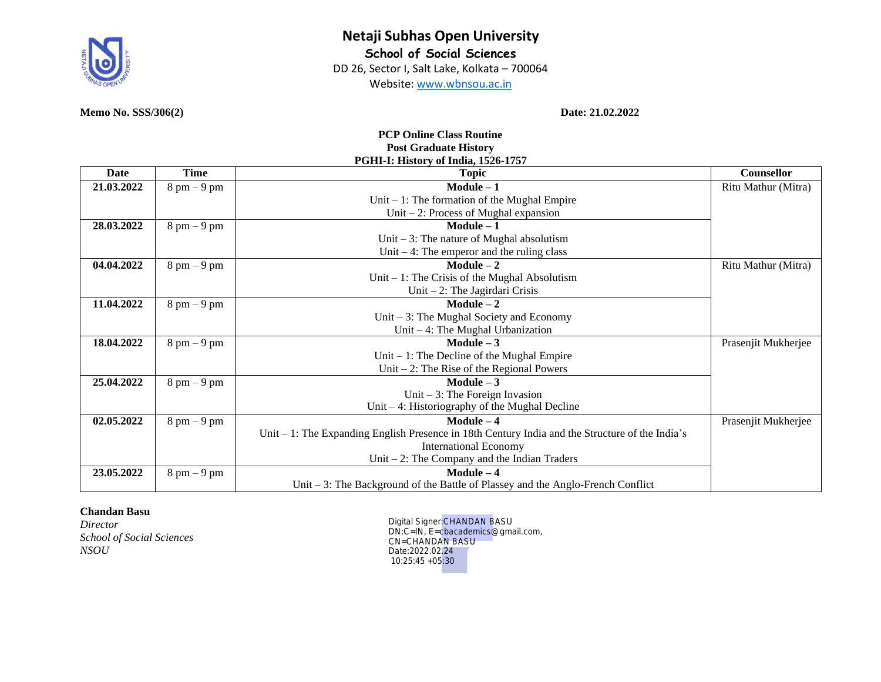

Website: [www.wbnsou.ac.in](http://www.wbnsou.ac.in/)

#### **PCP Online Class Routine Post Graduate History PGHI-I: History of India, 1526-1757**

| Date       | Time                          | <b>Topic</b>                                                                                      | Counsellor          |
|------------|-------------------------------|---------------------------------------------------------------------------------------------------|---------------------|
| 21.03.2022 | $8 \text{ pm} - 9 \text{ pm}$ | $Module - 1$                                                                                      | Ritu Mathur (Mitra) |
|            |                               | Unit $-1$ : The formation of the Mughal Empire                                                    |                     |
|            |                               | Unit $-2$ : Process of Mughal expansion                                                           |                     |
| 28.03.2022 | $8 \text{ pm} - 9 \text{ pm}$ | $Module - 1$                                                                                      |                     |
|            |                               | Unit $-3$ : The nature of Mughal absolutism                                                       |                     |
|            |                               | Unit $-4$ : The emperor and the ruling class                                                      |                     |
| 04.04.2022 | $8 \text{ pm} - 9 \text{ pm}$ | $Module - 2$                                                                                      | Ritu Mathur (Mitra) |
|            |                               | Unit $-1$ : The Crisis of the Mughal Absolutism                                                   |                     |
|            |                               | Unit $-2$ : The Jagirdari Crisis                                                                  |                     |
| 11.04.2022 | $8 \text{ pm} - 9 \text{ pm}$ | $Module - 2$                                                                                      |                     |
|            |                               | Unit $-3$ : The Mughal Society and Economy                                                        |                     |
|            |                               | Unit $-4$ : The Mughal Urbanization                                                               |                     |
| 18.04.2022 | $8 \text{ pm} - 9 \text{ pm}$ | Module $-3$                                                                                       | Prasenjit Mukherjee |
|            |                               | Unit $-1$ : The Decline of the Mughal Empire                                                      |                     |
|            |                               | Unit $-2$ : The Rise of the Regional Powers                                                       |                     |
| 25.04.2022 | $8 \text{ pm} - 9 \text{ pm}$ | Module $-3$                                                                                       |                     |
|            |                               | Unit $-3$ : The Foreign Invasion                                                                  |                     |
|            |                               | Unit $-4$ : Historiography of the Mughal Decline                                                  |                     |
| 02.05.2022 | $8 \text{ pm} - 9 \text{ pm}$ | $Module - 4$                                                                                      | Prasenjit Mukherjee |
|            |                               | Unit $-1$ : The Expanding English Presence in 18th Century India and the Structure of the India's |                     |
|            |                               | <b>International Economy</b>                                                                      |                     |
|            |                               | Unit $-2$ : The Company and the Indian Traders                                                    |                     |
| 23.05.2022 | $8 \text{ pm} - 9 \text{ pm}$ | Module $-4$                                                                                       |                     |
|            |                               | Unit $-3$ : The Background of the Battle of Plassey and the Anglo-French Conflict                 |                     |

#### **Chandan Basu**

*Director School of Social Sciences NSOU*

Digital Signer:CHANDAN BASU DN:C=IN, E=cbacademics@gmail.com, CN=CHANDAN BASU Date:2022.02.24 10:25:45 +05:30

**Memo No. SSS/306(2) Date: 21.02.2022**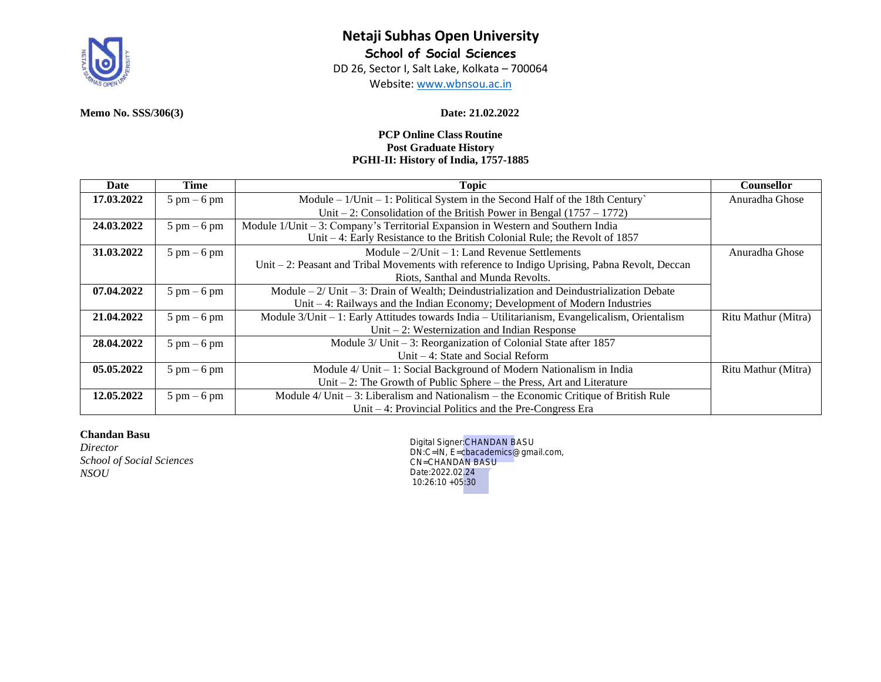

# **Netaji Subhas Open University School of Social Sciences**

DD 26, Sector I, Salt Lake, Kolkata – 700064

Website: [www.wbnsou.ac.in](http://www.wbnsou.ac.in/)

# **PCP Online Class Routine Post Graduate History PGHI-II: History of India, 1757-1885**

| Date       | Time                          | <b>Topic</b>                                                                                     | Counsellor          |
|------------|-------------------------------|--------------------------------------------------------------------------------------------------|---------------------|
| 17.03.2022 | $5 \text{ pm} - 6 \text{ pm}$ | Module $-1$ /Unit $-1$ : Political System in the Second Half of the 18th Century                 | Anuradha Ghose      |
|            |                               | Unit – 2: Consolidation of the British Power in Bengal $(1757 - 1772)$                           |                     |
| 24.03.2022 | $5 \text{ pm} - 6 \text{ pm}$ | Module $1$ /Unit – 3: Company's Territorial Expansion in Western and Southern India              |                     |
|            |                               | Unit $-4$ : Early Resistance to the British Colonial Rule; the Revolt of 1857                    |                     |
| 31.03.2022 | $5 \text{ pm} - 6 \text{ pm}$ | $Module - 2/Unit - 1$ : Land Revenue Settlements                                                 | Anuradha Ghose      |
|            |                               | Unit $-2$ : Peasant and Tribal Movements with reference to Indigo Uprising, Pabna Revolt, Deccan |                     |
|            |                               | Riots, Santhal and Munda Revolts.                                                                |                     |
| 07.04.2022 | $5 \text{ pm} - 6 \text{ pm}$ | Module $-2$ / Unit $-3$ : Drain of Wealth; Deindustrialization and Deindustrialization Debate    |                     |
|            |                               | Unit $-4$ : Railways and the Indian Economy; Development of Modern Industries                    |                     |
| 21.04.2022 | $5 \text{ pm} - 6 \text{ pm}$ | Module 3/Unit - 1: Early Attitudes towards India - Utilitarianism, Evangelicalism, Orientalism   | Ritu Mathur (Mitra) |
|            |                               | Unit $-2$ : Westernization and Indian Response                                                   |                     |
| 28.04.2022 | $5 \text{ pm} - 6 \text{ pm}$ | Module $3/$ Unit $-3$ : Reorganization of Colonial State after 1857                              |                     |
|            |                               | Unit $-4$ : State and Social Reform                                                              |                     |
| 05.05.2022 | $5 \text{ pm} - 6 \text{ pm}$ | Module $4/$ Unit $-1$ : Social Background of Modern Nationalism in India                         | Ritu Mathur (Mitra) |
|            |                               | Unit $-2$ : The Growth of Public Sphere $-$ the Press, Art and Literature                        |                     |
| 12.05.2022 | $5 \text{ pm} - 6 \text{ pm}$ | Module $4$ /Unit – 3: Liberalism and Nationalism – the Economic Critique of British Rule         |                     |
|            |                               | Unit $-4$ : Provincial Politics and the Pre-Congress Era                                         |                     |

# **Chandan Basu**

*Director School of Social Sciences NSOU*

Digital Signer:CHANDAN BASU DN:C=IN, E=cbacademics@gmail.com, CN=CHANDAN BASU Date:2022.02.24 10:26:10 +05:30

### **Memo No. SSS/306(3) Date: 21.02.2022**